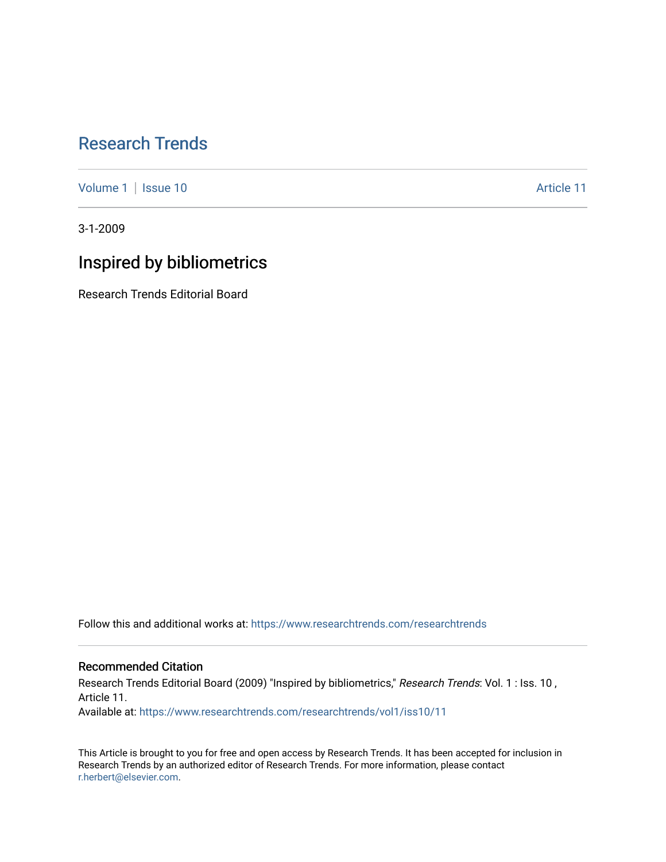# [Research Trends](https://www.researchtrends.com/researchtrends)

[Volume 1](https://www.researchtrends.com/researchtrends/vol1) | [Issue 10](https://www.researchtrends.com/researchtrends/vol1/iss10) Article 11

3-1-2009

# Inspired by bibliometrics

Research Trends Editorial Board

Follow this and additional works at: [https://www.researchtrends.com/researchtrends](https://www.researchtrends.com/researchtrends?utm_source=www.researchtrends.com%2Fresearchtrends%2Fvol1%2Fiss10%2F11&utm_medium=PDF&utm_campaign=PDFCoverPages) 

## Recommended Citation

Research Trends Editorial Board (2009) "Inspired by bibliometrics," Research Trends: Vol. 1 : Iss. 10, Article 11.

Available at: [https://www.researchtrends.com/researchtrends/vol1/iss10/11](https://www.researchtrends.com/researchtrends/vol1/iss10/11?utm_source=www.researchtrends.com%2Fresearchtrends%2Fvol1%2Fiss10%2F11&utm_medium=PDF&utm_campaign=PDFCoverPages) 

This Article is brought to you for free and open access by Research Trends. It has been accepted for inclusion in Research Trends by an authorized editor of Research Trends. For more information, please contact [r.herbert@elsevier.com.](mailto:r.herbert@elsevier.com)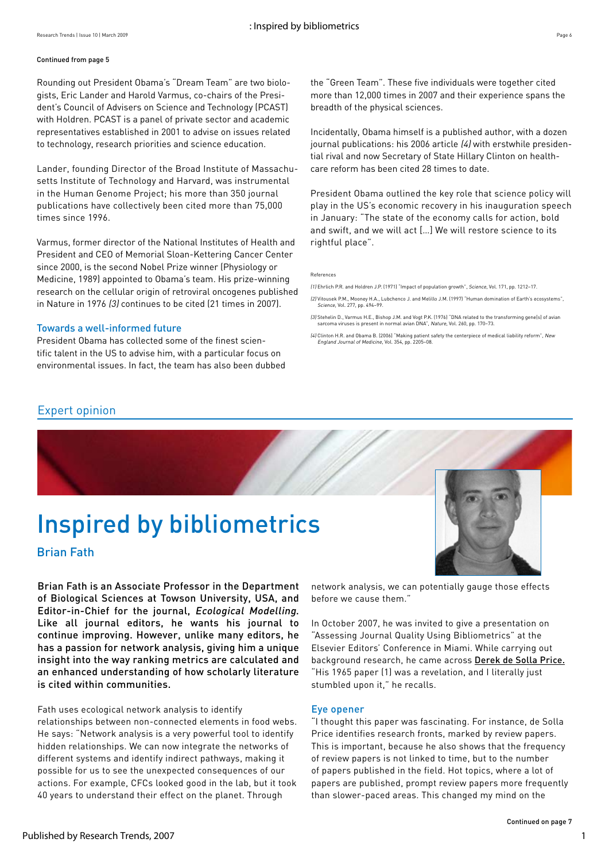#### Continued from page 5

Rounding out President Obama's "Dream Team" are two biologists, Eric Lander and Harold Varmus, co-chairs of the President's Council of Advisers on Science and Technology (PCAST) with Holdren. PCAST is a panel of private sector and academic representatives established in 2001 to advise on issues related to technology, research priorities and science education.

Lander, founding Director of the Broad Institute of Massachusetts Institute of Technology and Harvard, was instrumental in the Human Genome Project; his more than 350 journal publications have collectively been cited more than 75,000 times since 1996.

Varmus, former director of the National Institutes of Health and President and CEO of Memorial Sloan-Kettering Cancer Center since 2000, is the second Nobel Prize winner (Physiology or Medicine, 1989) appointed to Obama's team. His prize-winning research on the cellular origin of retroviral oncogenes published in Nature in 1976 (3) continues to be cited (21 times in 2007).

#### Towards a well-informed future

President Obama has collected some of the finest scientific talent in the US to advise him, with a particular focus on environmental issues. In fact, the team has also been dubbed the "Green Team". These five individuals were together cited more than 12,000 times in 2007 and their experience spans the breadth of the physical sciences.

Incidentally, Obama himself is a published author, with a dozen journal publications: his 2006 article (4) with erstwhile presidential rival and now Secretary of State Hillary Clinton on healthcare reform has been cited 28 times to date.

President Obama outlined the key role that science policy will play in the US's economic recovery in his inauguration speech in January: "The state of the economy calls for action, bold and swift, and we will act […] We will restore science to its rightful place".

#### References

- (1) Ehrlich P.R. and Holdren J.P. (1971) "Impact of population growth", Science, Vol. 171, pp. 1212–17.
- (2) Vitousek P.M., Mooney H.A., Lubchenco J. and Melillo J.M. (1997) "Human domination of Earth's ecosystems", Science, Vol. 277, pp. 494–99.
- (3) Stehelin D., Varmus H.E., Bishop J.M. and Vogt P.K. (1976) "DNA related to the transforming gene(s) of avian sarcoma viruses is present in normal avian DNA", Nature, Vol. 260, pp. 170–73.
- (4) Clinton H.R. and Obama B. (2006) "Making patient safety the centerpiece of medical liability reform", New England Journal of Medicine, Vol. 354, pp. 2205–08.

# Expert opinion



# Inspired by bibliometrics Brian Fath



Brian Fath is an Associate Professor in the Department of Biological Sciences at Towson University, USA, and Editor-in-Chief for the journal, Ecological Modelling. Like all journal editors, he wants his journal to continue improving. However, unlike many editors, he has a passion for network analysis, giving him a unique insight into the way ranking metrics are calculated and an enhanced understanding of how scholarly literature is cited within communities.

Fath uses ecological network analysis to identify

relationships between non-connected elements in food webs. He says: "Network analysis is a very powerful tool to identify hidden relationships. We can now integrate the networks of different systems and identify indirect pathways, making it possible for us to see the unexpected consequences of our actions. For example, CFCs looked good in the lab, but it took 40 years to understand their effect on the planet. Through

network analysis, we can potentially gauge those effects before we cause them."

In October 2007, he was invited to give a presentation on "Assessing Journal Quality Using Bibliometrics" at the Elsevier Editors' Conference in Miami. While carrying out background research, he came across [Derek de Solla Price.](http://www.info.scopus.com/researchtrends/archive/RT7/INDEX.html) "His 1965 paper (1) was a revelation, and I literally just stumbled upon it," he recalls.

#### Eye opener

"I thought this paper was fascinating. For instance, de Solla Price identifies research fronts, marked by review papers. This is important, because he also shows that the frequency of review papers is not linked to time, but to the number of papers published in the field. Hot topics, where a lot of papers are published, prompt review papers more frequently than slower-paced areas. This changed my mind on the